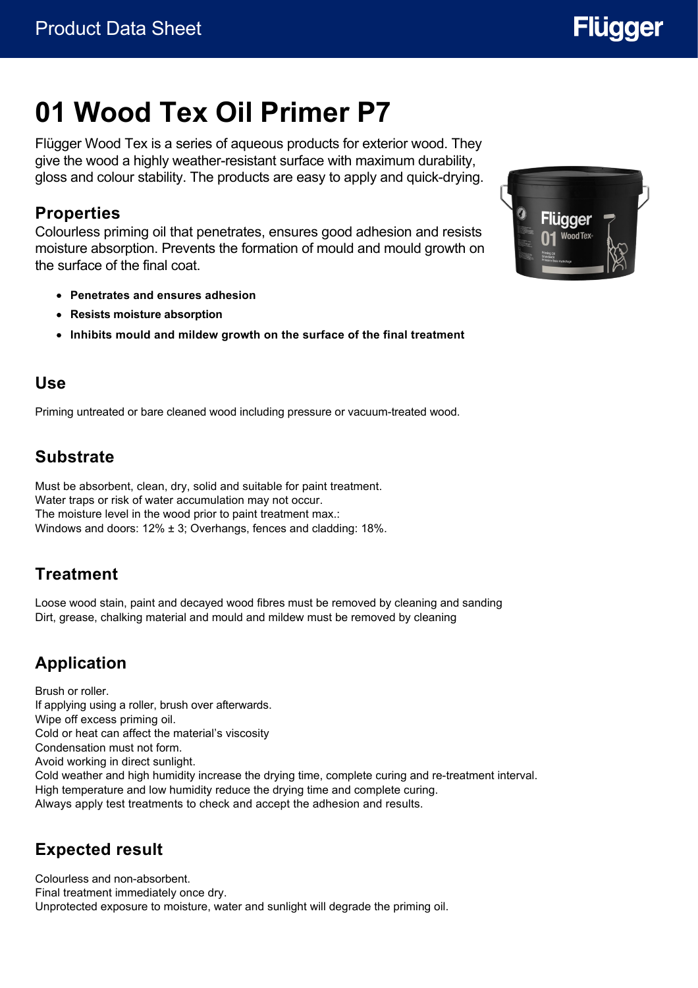

# **01 Wood Tex Oil Primer P7**

Flügger Wood Tex is a series of aqueous products for exterior wood. They give the wood a highly weather-resistant surface with maximum durability, gloss and colour stability. The products are easy to apply and quick-drying.

#### **Properties**

Colourless priming oil that penetrates, ensures good adhesion and resists moisture absorption. Prevents the formation of mould and mould growth on the surface of the final coat.

- **Penetrates and ensures adhesion**
- **Resists moisture absorption**
- **Inhibits mould and mildew growth on the surface of the final treatment**

#### **Use**

Priming untreated or bare cleaned wood including pressure or vacuum-treated wood.

# **Substrate**

Must be absorbent, clean, dry, solid and suitable for paint treatment. Water traps or risk of water accumulation may not occur. The moisture level in the wood prior to paint treatment max.: Windows and doors: 12% ± 3; Overhangs, fences and cladding: 18%.

# **Treatment**

Loose wood stain, paint and decayed wood fibres must be removed by cleaning and sanding Dirt, grease, chalking material and mould and mildew must be removed by cleaning

# **Application**

Brush or roller. If applying using a roller, brush over afterwards. Wipe off excess priming oil. Cold or heat can affect the material's viscosity Condensation must not form. Avoid working in direct sunlight. Cold weather and high humidity increase the drying time, complete curing and re-treatment interval. High temperature and low humidity reduce the drying time and complete curing. Always apply test treatments to check and accept the adhesion and results.

# **Expected result**

Colourless and non-absorbent. Final treatment immediately once dry. Unprotected exposure to moisture, water and sunlight will degrade the priming oil.